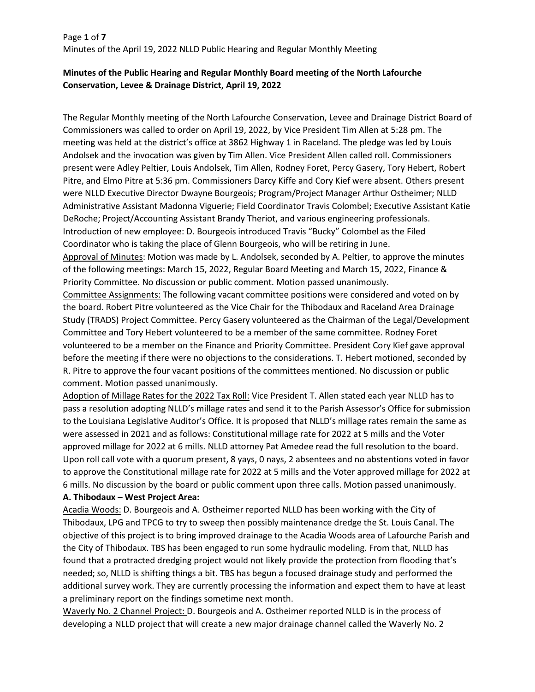# Page **1** of **7** Minutes of the April 19, 2022 NLLD Public Hearing and Regular Monthly Meeting

## **Minutes of the Public Hearing and Regular Monthly Board meeting of the North Lafourche Conservation, Levee & Drainage District, April 19, 2022**

The Regular Monthly meeting of the North Lafourche Conservation, Levee and Drainage District Board of Commissioners was called to order on April 19, 2022, by Vice President Tim Allen at 5:28 pm. The meeting was held at the district's office at 3862 Highway 1 in Raceland. The pledge was led by Louis Andolsek and the invocation was given by Tim Allen. Vice President Allen called roll. Commissioners present were Adley Peltier, Louis Andolsek, Tim Allen, Rodney Foret, Percy Gasery, Tory Hebert, Robert Pitre, and Elmo Pitre at 5:36 pm. Commissioners Darcy Kiffe and Cory Kief were absent. Others present were NLLD Executive Director Dwayne Bourgeois; Program/Project Manager Arthur Ostheimer; NLLD Administrative Assistant Madonna Viguerie; Field Coordinator Travis Colombel; Executive Assistant Katie DeRoche; Project/Accounting Assistant Brandy Theriot, and various engineering professionals. Introduction of new employee: D. Bourgeois introduced Travis "Bucky" Colombel as the Filed Coordinator who is taking the place of Glenn Bourgeois, who will be retiring in June. Approval of Minutes: Motion was made by L. Andolsek, seconded by A. Peltier, to approve the minutes of the following meetings: March 15, 2022, Regular Board Meeting and March 15, 2022, Finance & Priority Committee. No discussion or public comment. Motion passed unanimously. Committee Assignments: The following vacant committee positions were considered and voted on by the board. Robert Pitre volunteered as the Vice Chair for the Thibodaux and Raceland Area Drainage Study (TRADS) Project Committee. Percy Gasery volunteered as the Chairman of the Legal/Development

Committee and Tory Hebert volunteered to be a member of the same committee. Rodney Foret volunteered to be a member on the Finance and Priority Committee. President Cory Kief gave approval before the meeting if there were no objections to the considerations. T. Hebert motioned, seconded by R. Pitre to approve the four vacant positions of the committees mentioned. No discussion or public comment. Motion passed unanimously.

Adoption of Millage Rates for the 2022 Tax Roll: Vice President T. Allen stated each year NLLD has to pass a resolution adopting NLLD's millage rates and send it to the Parish Assessor's Office for submission to the Louisiana Legislative Auditor's Office. It is proposed that NLLD's millage rates remain the same as were assessed in 2021 and as follows: Constitutional millage rate for 2022 at 5 mills and the Voter approved millage for 2022 at 6 mills. NLLD attorney Pat Amedee read the full resolution to the board. Upon roll call vote with a quorum present, 8 yays, 0 nays, 2 absentees and no abstentions voted in favor to approve the Constitutional millage rate for 2022 at 5 mills and the Voter approved millage for 2022 at 6 mills. No discussion by the board or public comment upon three calls. Motion passed unanimously.

### **A. Thibodaux – West Project Area:**

Acadia Woods: D. Bourgeois and A. Ostheimer reported NLLD has been working with the City of Thibodaux, LPG and TPCG to try to sweep then possibly maintenance dredge the St. Louis Canal. The objective of this project is to bring improved drainage to the Acadia Woods area of Lafourche Parish and the City of Thibodaux. TBS has been engaged to run some hydraulic modeling. From that, NLLD has found that a protracted dredging project would not likely provide the protection from flooding that's needed; so, NLLD is shifting things a bit. TBS has begun a focused drainage study and performed the additional survey work. They are currently processing the information and expect them to have at least a preliminary report on the findings sometime next month.

Waverly No. 2 Channel Project: D. Bourgeois and A. Ostheimer reported NLLD is in the process of developing a NLLD project that will create a new major drainage channel called the Waverly No. 2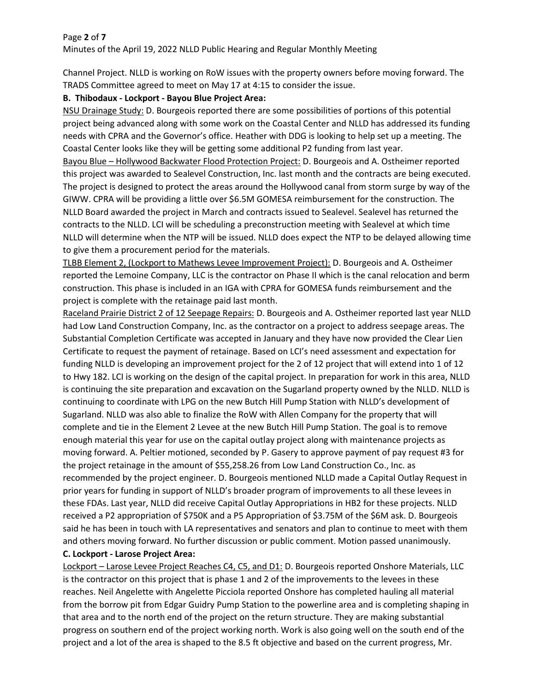### Page **2** of **7**

Minutes of the April 19, 2022 NLLD Public Hearing and Regular Monthly Meeting

Channel Project. NLLD is working on RoW issues with the property owners before moving forward. The TRADS Committee agreed to meet on May 17 at 4:15 to consider the issue.

# **B. Thibodaux - Lockport - Bayou Blue Project Area:**

NSU Drainage Study: D. Bourgeois reported there are some possibilities of portions of this potential project being advanced along with some work on the Coastal Center and NLLD has addressed its funding needs with CPRA and the Governor's office. Heather with DDG is looking to help set up a meeting. The Coastal Center looks like they will be getting some additional P2 funding from last year.

Bayou Blue – Hollywood Backwater Flood Protection Project: D. Bourgeois and A. Ostheimer reported this project was awarded to Sealevel Construction, Inc. last month and the contracts are being executed. The project is designed to protect the areas around the Hollywood canal from storm surge by way of the GIWW. CPRA will be providing a little over \$6.5M GOMESA reimbursement for the construction. The NLLD Board awarded the project in March and contracts issued to Sealevel. Sealevel has returned the contracts to the NLLD. LCI will be scheduling a preconstruction meeting with Sealevel at which time NLLD will determine when the NTP will be issued. NLLD does expect the NTP to be delayed allowing time to give them a procurement period for the materials.

TLBB Element 2, (Lockport to Mathews Levee Improvement Project): D. Bourgeois and A. Ostheimer reported the Lemoine Company, LLC is the contractor on Phase II which is the canal relocation and berm construction. This phase is included in an IGA with CPRA for GOMESA funds reimbursement and the project is complete with the retainage paid last month.

Raceland Prairie District 2 of 12 Seepage Repairs: D. Bourgeois and A. Ostheimer reported last year NLLD had Low Land Construction Company, Inc. as the contractor on a project to address seepage areas. The Substantial Completion Certificate was accepted in January and they have now provided the Clear Lien Certificate to request the payment of retainage. Based on LCI's need assessment and expectation for funding NLLD is developing an improvement project for the 2 of 12 project that will extend into 1 of 12 to Hwy 182. LCI is working on the design of the capital project. In preparation for work in this area, NLLD is continuing the site preparation and excavation on the Sugarland property owned by the NLLD. NLLD is continuing to coordinate with LPG on the new Butch Hill Pump Station with NLLD's development of Sugarland. NLLD was also able to finalize the RoW with Allen Company for the property that will complete and tie in the Element 2 Levee at the new Butch Hill Pump Station. The goal is to remove enough material this year for use on the capital outlay project along with maintenance projects as moving forward. A. Peltier motioned, seconded by P. Gasery to approve payment of pay request #3 for the project retainage in the amount of \$55,258.26 from Low Land Construction Co., Inc. as recommended by the project engineer. D. Bourgeois mentioned NLLD made a Capital Outlay Request in prior years for funding in support of NLLD's broader program of improvements to all these levees in these FDAs. Last year, NLLD did receive Capital Outlay Appropriations in HB2 for these projects. NLLD received a P2 appropriation of \$750K and a P5 Appropriation of \$3.75M of the \$6M ask. D. Bourgeois said he has been in touch with LA representatives and senators and plan to continue to meet with them and others moving forward. No further discussion or public comment. Motion passed unanimously. **C. Lockport - Larose Project Area:**

Lockport – Larose Levee Project Reaches C4, C5, and D1: D. Bourgeois reported Onshore Materials, LLC is the contractor on this project that is phase 1 and 2 of the improvements to the levees in these reaches. Neil Angelette with Angelette Picciola reported Onshore has completed hauling all material from the borrow pit from Edgar Guidry Pump Station to the powerline area and is completing shaping in that area and to the north end of the project on the return structure. They are making substantial progress on southern end of the project working north. Work is also going well on the south end of the project and a lot of the area is shaped to the 8.5 ft objective and based on the current progress, Mr.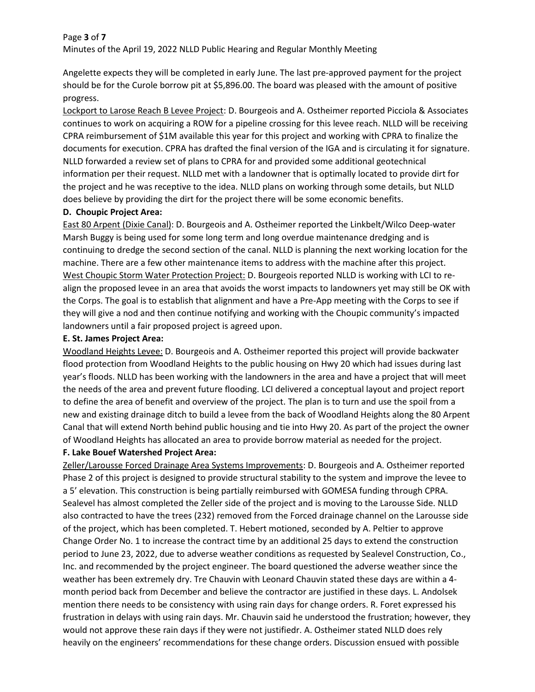#### Page **3** of **7**

Minutes of the April 19, 2022 NLLD Public Hearing and Regular Monthly Meeting

Angelette expects they will be completed in early June. The last pre-approved payment for the project should be for the Curole borrow pit at \$5,896.00. The board was pleased with the amount of positive progress.

Lockport to Larose Reach B Levee Project: D. Bourgeois and A. Ostheimer reported Picciola & Associates continues to work on acquiring a ROW for a pipeline crossing for this levee reach. NLLD will be receiving CPRA reimbursement of \$1M available this year for this project and working with CPRA to finalize the documents for execution. CPRA has drafted the final version of the IGA and is circulating it for signature. NLLD forwarded a review set of plans to CPRA for and provided some additional geotechnical information per their request. NLLD met with a landowner that is optimally located to provide dirt for the project and he was receptive to the idea. NLLD plans on working through some details, but NLLD does believe by providing the dirt for the project there will be some economic benefits.

### **D. Choupic Project Area:**

East 80 Arpent (Dixie Canal): D. Bourgeois and A. Ostheimer reported the Linkbelt/Wilco Deep-water Marsh Buggy is being used for some long term and long overdue maintenance dredging and is continuing to dredge the second section of the canal. NLLD is planning the next working location for the machine. There are a few other maintenance items to address with the machine after this project. West Choupic Storm Water Protection Project: D. Bourgeois reported NLLD is working with LCI to realign the proposed levee in an area that avoids the worst impacts to landowners yet may still be OK with the Corps. The goal is to establish that alignment and have a Pre-App meeting with the Corps to see if they will give a nod and then continue notifying and working with the Choupic community's impacted landowners until a fair proposed project is agreed upon.

#### **E. St. James Project Area:**

Woodland Heights Levee: D. Bourgeois and A. Ostheimer reported this project will provide backwater flood protection from Woodland Heights to the public housing on Hwy 20 which had issues during last year's floods. NLLD has been working with the landowners in the area and have a project that will meet the needs of the area and prevent future flooding. LCI delivered a conceptual layout and project report to define the area of benefit and overview of the project. The plan is to turn and use the spoil from a new and existing drainage ditch to build a levee from the back of Woodland Heights along the 80 Arpent Canal that will extend North behind public housing and tie into Hwy 20. As part of the project the owner of Woodland Heights has allocated an area to provide borrow material as needed for the project.

### **F. Lake Bouef Watershed Project Area:**

Zeller/Larousse Forced Drainage Area Systems Improvements: D. Bourgeois and A. Ostheimer reported Phase 2 of this project is designed to provide structural stability to the system and improve the levee to a 5' elevation. This construction is being partially reimbursed with GOMESA funding through CPRA. Sealevel has almost completed the Zeller side of the project and is moving to the Larousse Side. NLLD also contracted to have the trees (232) removed from the Forced drainage channel on the Larousse side of the project, which has been completed. T. Hebert motioned, seconded by A. Peltier to approve Change Order No. 1 to increase the contract time by an additional 25 days to extend the construction period to June 23, 2022, due to adverse weather conditions as requested by Sealevel Construction, Co., Inc. and recommended by the project engineer. The board questioned the adverse weather since the weather has been extremely dry. Tre Chauvin with Leonard Chauvin stated these days are within a 4 month period back from December and believe the contractor are justified in these days. L. Andolsek mention there needs to be consistency with using rain days for change orders. R. Foret expressed his frustration in delays with using rain days. Mr. Chauvin said he understood the frustration; however, they would not approve these rain days if they were not justifiedr. A. Ostheimer stated NLLD does rely heavily on the engineers' recommendations for these change orders. Discussion ensued with possible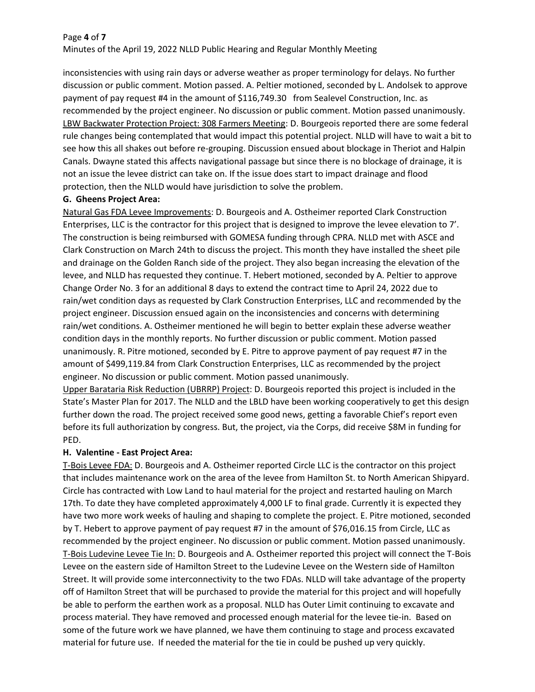#### Page **4** of **7**

Minutes of the April 19, 2022 NLLD Public Hearing and Regular Monthly Meeting

inconsistencies with using rain days or adverse weather as proper terminology for delays. No further discussion or public comment. Motion passed. A. Peltier motioned, seconded by L. Andolsek to approve payment of pay request #4 in the amount of \$116,749.30 from Sealevel Construction, Inc. as recommended by the project engineer. No discussion or public comment. Motion passed unanimously. LBW Backwater Protection Project: 308 Farmers Meeting: D. Bourgeois reported there are some federal rule changes being contemplated that would impact this potential project. NLLD will have to wait a bit to see how this all shakes out before re-grouping. Discussion ensued about blockage in Theriot and Halpin Canals. Dwayne stated this affects navigational passage but since there is no blockage of drainage, it is not an issue the levee district can take on. If the issue does start to impact drainage and flood protection, then the NLLD would have jurisdiction to solve the problem.

### **G. Gheens Project Area:**

Natural Gas FDA Levee Improvements: D. Bourgeois and A. Ostheimer reported Clark Construction Enterprises, LLC is the contractor for this project that is designed to improve the levee elevation to 7'. The construction is being reimbursed with GOMESA funding through CPRA. NLLD met with ASCE and Clark Construction on March 24th to discuss the project. This month they have installed the sheet pile and drainage on the Golden Ranch side of the project. They also began increasing the elevation of the levee, and NLLD has requested they continue. T. Hebert motioned, seconded by A. Peltier to approve Change Order No. 3 for an additional 8 days to extend the contract time to April 24, 2022 due to rain/wet condition days as requested by Clark Construction Enterprises, LLC and recommended by the project engineer. Discussion ensued again on the inconsistencies and concerns with determining rain/wet conditions. A. Ostheimer mentioned he will begin to better explain these adverse weather condition days in the monthly reports. No further discussion or public comment. Motion passed unanimously. R. Pitre motioned, seconded by E. Pitre to approve payment of pay request #7 in the amount of \$499,119.84 from Clark Construction Enterprises, LLC as recommended by the project engineer. No discussion or public comment. Motion passed unanimously.

Upper Barataria Risk Reduction (UBRRP) Project: D. Bourgeois reported this project is included in the State's Master Plan for 2017. The NLLD and the LBLD have been working cooperatively to get this design further down the road. The project received some good news, getting a favorable Chief's report even before its full authorization by congress. But, the project, via the Corps, did receive \$8M in funding for PED.

# **H. Valentine - East Project Area:**

T-Bois Levee FDA: D. Bourgeois and A. Ostheimer reported Circle LLC is the contractor on this project that includes maintenance work on the area of the levee from Hamilton St. to North American Shipyard. Circle has contracted with Low Land to haul material for the project and restarted hauling on March 17th. To date they have completed approximately 4,000 LF to final grade. Currently it is expected they have two more work weeks of hauling and shaping to complete the project. E. Pitre motioned, seconded by T. Hebert to approve payment of pay request #7 in the amount of \$76,016.15 from Circle, LLC as recommended by the project engineer. No discussion or public comment. Motion passed unanimously. T-Bois Ludevine Levee Tie In: D. Bourgeois and A. Ostheimer reported this project will connect the T-Bois Levee on the eastern side of Hamilton Street to the Ludevine Levee on the Western side of Hamilton Street. It will provide some interconnectivity to the two FDAs. NLLD will take advantage of the property off of Hamilton Street that will be purchased to provide the material for this project and will hopefully be able to perform the earthen work as a proposal. NLLD has Outer Limit continuing to excavate and process material. They have removed and processed enough material for the levee tie-in. Based on some of the future work we have planned, we have them continuing to stage and process excavated material for future use. If needed the material for the tie in could be pushed up very quickly.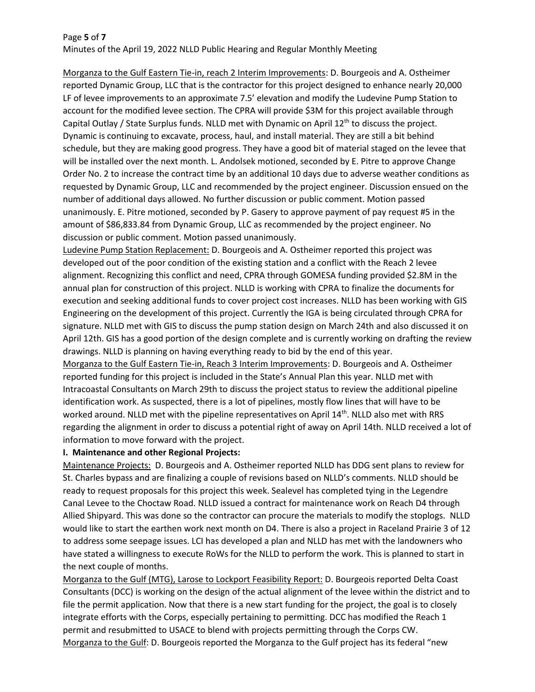# Page **5** of **7** Minutes of the April 19, 2022 NLLD Public Hearing and Regular Monthly Meeting

Morganza to the Gulf Eastern Tie-in, reach 2 Interim Improvements: D. Bourgeois and A. Ostheimer reported Dynamic Group, LLC that is the contractor for this project designed to enhance nearly 20,000 LF of levee improvements to an approximate 7.5' elevation and modify the Ludevine Pump Station to account for the modified levee section. The CPRA will provide \$3M for this project available through Capital Outlay / State Surplus funds. NLLD met with Dynamic on April  $12<sup>th</sup>$  to discuss the project. Dynamic is continuing to excavate, process, haul, and install material. They are still a bit behind schedule, but they are making good progress. They have a good bit of material staged on the levee that will be installed over the next month. L. Andolsek motioned, seconded by E. Pitre to approve Change Order No. 2 to increase the contract time by an additional 10 days due to adverse weather conditions as requested by Dynamic Group, LLC and recommended by the project engineer. Discussion ensued on the number of additional days allowed. No further discussion or public comment. Motion passed unanimously. E. Pitre motioned, seconded by P. Gasery to approve payment of pay request #5 in the amount of \$86,833.84 from Dynamic Group, LLC as recommended by the project engineer. No discussion or public comment. Motion passed unanimously.

Ludevine Pump Station Replacement: D. Bourgeois and A. Ostheimer reported this project was developed out of the poor condition of the existing station and a conflict with the Reach 2 levee alignment. Recognizing this conflict and need, CPRA through GOMESA funding provided \$2.8M in the annual plan for construction of this project. NLLD is working with CPRA to finalize the documents for execution and seeking additional funds to cover project cost increases. NLLD has been working with GIS Engineering on the development of this project. Currently the IGA is being circulated through CPRA for signature. NLLD met with GIS to discuss the pump station design on March 24th and also discussed it on April 12th. GIS has a good portion of the design complete and is currently working on drafting the review drawings. NLLD is planning on having everything ready to bid by the end of this year.

Morganza to the Gulf Eastern Tie-in, Reach 3 Interim Improvements: D. Bourgeois and A. Ostheimer reported funding for this project is included in the State's Annual Plan this year. NLLD met with Intracoastal Consultants on March 29th to discuss the project status to review the additional pipeline identification work. As suspected, there is a lot of pipelines, mostly flow lines that will have to be worked around. NLLD met with the pipeline representatives on April 14<sup>th</sup>. NLLD also met with RRS regarding the alignment in order to discuss a potential right of away on April 14th. NLLD received a lot of information to move forward with the project.

### **I. Maintenance and other Regional Projects:**

Maintenance Projects: D. Bourgeois and A. Ostheimer reported NLLD has DDG sent plans to review for St. Charles bypass and are finalizing a couple of revisions based on NLLD's comments. NLLD should be ready to request proposals for this project this week. Sealevel has completed tying in the Legendre Canal Levee to the Choctaw Road. NLLD issued a contract for maintenance work on Reach D4 through Allied Shipyard. This was done so the contractor can procure the materials to modify the stoplogs. NLLD would like to start the earthen work next month on D4. There is also a project in Raceland Prairie 3 of 12 to address some seepage issues. LCI has developed a plan and NLLD has met with the landowners who have stated a willingness to execute RoWs for the NLLD to perform the work. This is planned to start in the next couple of months.

Morganza to the Gulf (MTG), Larose to Lockport Feasibility Report: D. Bourgeois reported Delta Coast Consultants (DCC) is working on the design of the actual alignment of the levee within the district and to file the permit application. Now that there is a new start funding for the project, the goal is to closely integrate efforts with the Corps, especially pertaining to permitting. DCC has modified the Reach 1 permit and resubmitted to USACE to blend with projects permitting through the Corps CW. Morganza to the Gulf: D. Bourgeois reported the Morganza to the Gulf project has its federal "new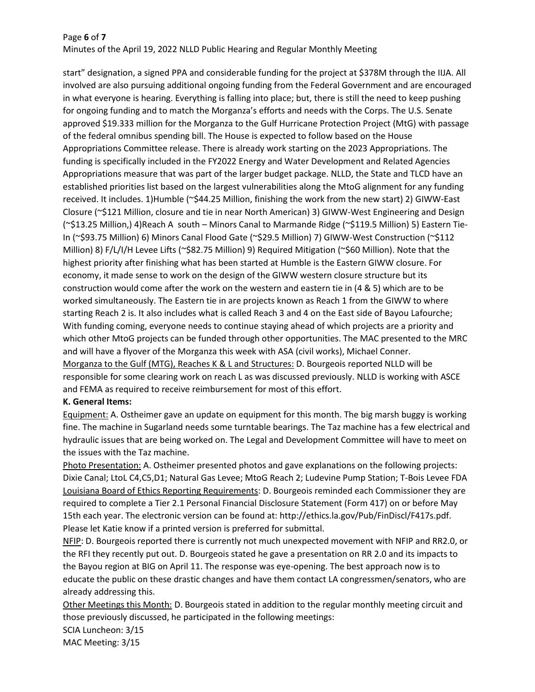### Page **6** of **7**

Minutes of the April 19, 2022 NLLD Public Hearing and Regular Monthly Meeting

start" designation, a signed PPA and considerable funding for the project at \$378M through the IIJA. All involved are also pursuing additional ongoing funding from the Federal Government and are encouraged in what everyone is hearing. Everything is falling into place; but, there is still the need to keep pushing for ongoing funding and to match the Morganza's efforts and needs with the Corps. The U.S. Senate approved \$19.333 million for the Morganza to the Gulf Hurricane Protection Project (MtG) with passage of the federal omnibus spending bill. The House is expected to follow based on the House Appropriations Committee release. There is already work starting on the 2023 Appropriations. The funding is specifically included in the FY2022 Energy and Water Development and Related Agencies Appropriations measure that was part of the larger budget package. NLLD, the State and TLCD have an established priorities list based on the largest vulnerabilities along the MtoG alignment for any funding received. It includes. 1)Humble (~\$44.25 Million, finishing the work from the new start) 2) GIWW-East Closure (~\$121 Million, closure and tie in near North American) 3) GIWW-West Engineering and Design (~\$13.25 Million,) 4)Reach A south – Minors Canal to Marmande Ridge (~\$119.5 Million) 5) Eastern Tie-In (~\$93.75 Million) 6) Minors Canal Flood Gate (~\$29.5 Million) 7) GIWW-West Construction (~\$112 Million) 8) F/L/I/H Levee Lifts (~\$82.75 Million) 9) Required Mitigation (~\$60 Million). Note that the highest priority after finishing what has been started at Humble is the Eastern GIWW closure. For economy, it made sense to work on the design of the GIWW western closure structure but its construction would come after the work on the western and eastern tie in (4 & 5) which are to be worked simultaneously. The Eastern tie in are projects known as Reach 1 from the GIWW to where starting Reach 2 is. It also includes what is called Reach 3 and 4 on the East side of Bayou Lafourche; With funding coming, everyone needs to continue staying ahead of which projects are a priority and which other MtoG projects can be funded through other opportunities. The MAC presented to the MRC and will have a flyover of the Morganza this week with ASA (civil works), Michael Conner. Morganza to the Gulf (MTG), Reaches K & L and Structures: D. Bourgeois reported NLLD will be responsible for some clearing work on reach L as was discussed previously. NLLD is working with ASCE and FEMA as required to receive reimbursement for most of this effort.

### **K. General Items:**

Equipment: A. Ostheimer gave an update on equipment for this month. The big marsh buggy is working fine. The machine in Sugarland needs some turntable bearings. The Taz machine has a few electrical and hydraulic issues that are being worked on. The Legal and Development Committee will have to meet on the issues with the Taz machine.

Photo Presentation: A. Ostheimer presented photos and gave explanations on the following projects: Dixie Canal; LtoL C4,C5,D1; Natural Gas Levee; MtoG Reach 2; Ludevine Pump Station; T-Bois Levee FDA Louisiana Board of Ethics Reporting Requirements: D. Bourgeois reminded each Commissioner they are required to complete a Tier 2.1 Personal Financial Disclosure Statement (Form 417) on or before May 15th each year. The electronic version can be found at: http://ethics.la.gov/Pub/FinDiscl/F417s.pdf. Please let Katie know if a printed version is preferred for submittal.

NFIP: D. Bourgeois reported there is currently not much unexpected movement with NFIP and RR2.0, or the RFI they recently put out. D. Bourgeois stated he gave a presentation on RR 2.0 and its impacts to the Bayou region at BIG on April 11. The response was eye-opening. The best approach now is to educate the public on these drastic changes and have them contact LA congressmen/senators, who are already addressing this.

Other Meetings this Month: D. Bourgeois stated in addition to the regular monthly meeting circuit and those previously discussed, he participated in the following meetings:

SCIA Luncheon: 3/15

MAC Meeting: 3/15